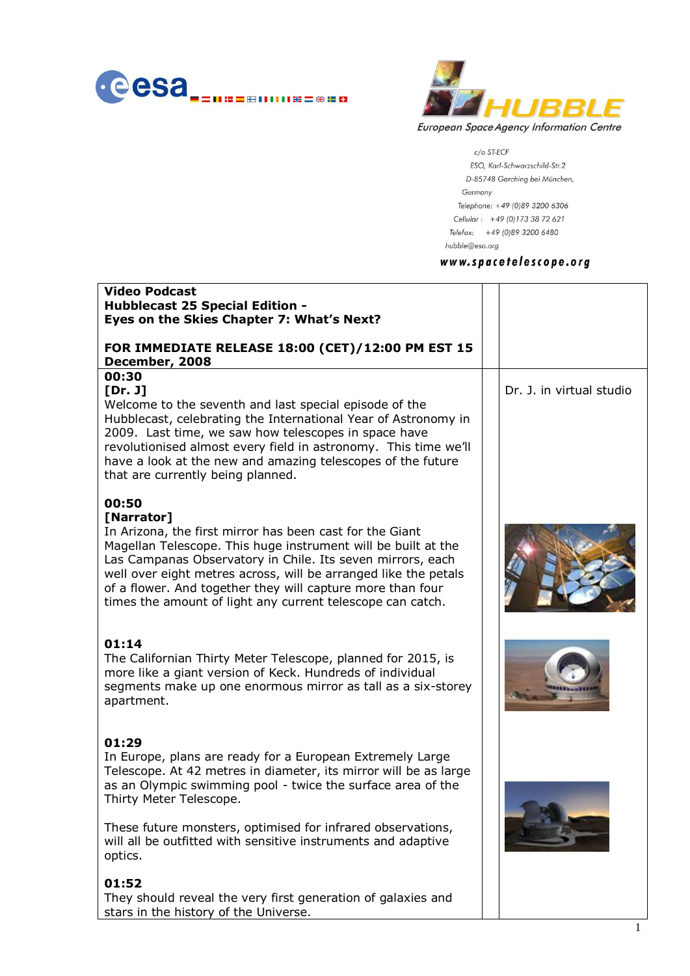



c/o ST-ECF ESO, Karl-Schwarzschild-Str.2 D-85748 Garching bei München, Germany Telephone: +49 (0)89 3200 6306 Cellular: +49 (0)173 38 72 621 Telefax: +49 (0)89 3200 6480 hubble@eso.org

#### www.spacetelescope.org

| <b>Video Podcast</b><br><b>Hubblecast 25 Special Edition -</b><br>Eyes on the Skies Chapter 7: What's Next?                                                                                                                                                                                                                                                                                                   |                          |
|---------------------------------------------------------------------------------------------------------------------------------------------------------------------------------------------------------------------------------------------------------------------------------------------------------------------------------------------------------------------------------------------------------------|--------------------------|
| FOR IMMEDIATE RELEASE 18:00 (CET)/12:00 PM EST 15<br>December, 2008                                                                                                                                                                                                                                                                                                                                           |                          |
| 00:30<br>[Dr. J]<br>Welcome to the seventh and last special episode of the<br>Hubblecast, celebrating the International Year of Astronomy in<br>2009. Last time, we saw how telescopes in space have<br>revolutionised almost every field in astronomy. This time we'll<br>have a look at the new and amazing telescopes of the future<br>that are currently being planned.                                   | Dr. J. in virtual studio |
| 00:50<br>[Narrator]<br>In Arizona, the first mirror has been cast for the Giant<br>Magellan Telescope. This huge instrument will be built at the<br>Las Campanas Observatory in Chile. Its seven mirrors, each<br>well over eight metres across, will be arranged like the petals<br>of a flower. And together they will capture more than four<br>times the amount of light any current telescope can catch. |                          |
| 01:14<br>The Californian Thirty Meter Telescope, planned for 2015, is<br>more like a giant version of Keck. Hundreds of individual<br>segments make up one enormous mirror as tall as a six-storey<br>apartment.                                                                                                                                                                                              |                          |
| 01:29<br>In Europe, plans are ready for a European Extremely Large<br>Telescope. At 42 metres in diameter, its mirror will be as large<br>as an Olympic swimming pool - twice the surface area of the<br>Thirty Meter Telescope.                                                                                                                                                                              |                          |
| These future monsters, optimised for infrared observations,<br>will all be outfitted with sensitive instruments and adaptive<br>optics.                                                                                                                                                                                                                                                                       |                          |
| 01:52<br>They should reveal the very first generation of galaxies and<br>stars in the history of the Universe.                                                                                                                                                                                                                                                                                                |                          |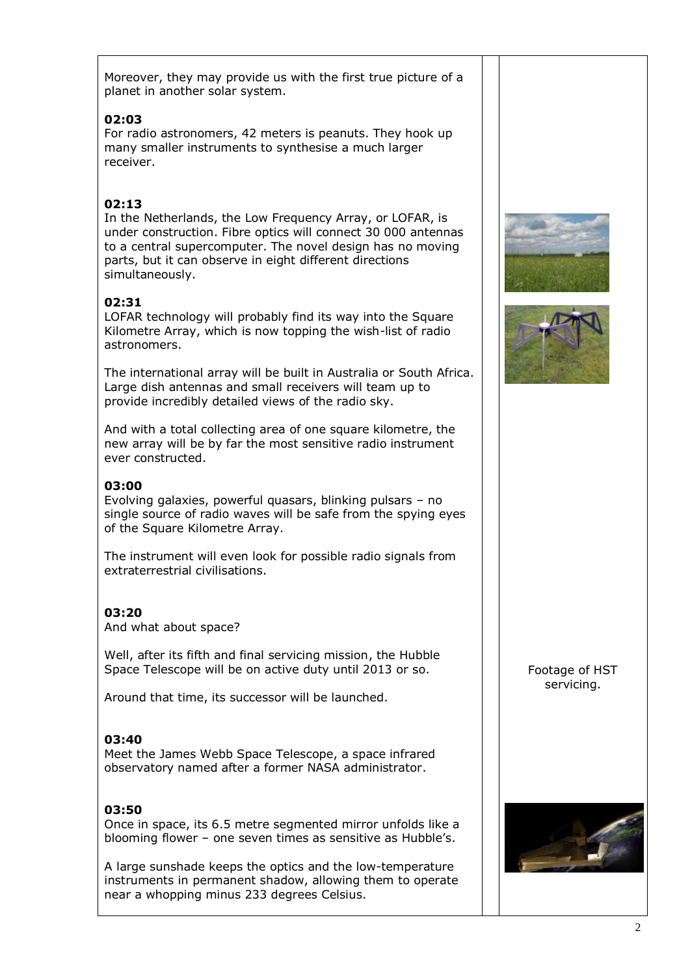Moreover, they may provide us with the first true picture of a planet in another solar system.

### **02:03**

For radio astronomers, 42 meters is peanuts. They hook up many smaller instruments to synthesise a much larger receiver.

# **02:13**

In the Netherlands, the Low Frequency Array, or LOFAR, is under construction. Fibre optics will connect 30 000 antennas to a central supercomputer. The novel design has no moving parts, but it can observe in eight different directions simultaneously.

# **02:31**

LOFAR technology will probably find its way into the Square Kilometre Array, which is now topping the wish-list of radio astronomers.

The international array will be built in Australia or South Africa. Large dish antennas and small receivers will team up to provide incredibly detailed views of the radio sky.

And with a total collecting area of one square kilometre, the new array will be by far the most sensitive radio instrument ever constructed.

### **03:00**

Evolving galaxies, powerful quasars, blinking pulsars – no single source of radio waves will be safe from the spying eyes of the Square Kilometre Array.

The instrument will even look for possible radio signals from extraterrestrial civilisations.

#### **03:20**

And what about space?

Well, after its fifth and final servicing mission, the Hubble Space Telescope will be on active duty until 2013 or so.

Around that time, its successor will be launched.

#### **03:40**

Meet the James Webb Space Telescope, a space infrared observatory named after a former NASA administrator.

## **03:50**

Once in space, its 6.5 metre segmented mirror unfolds like a blooming flower – one seven times as sensitive as Hubble's.

A large sunshade keeps the optics and the low-temperature instruments in permanent shadow, allowing them to operate near a whopping minus 233 degrees Celsius.





Footage of HST servicing.

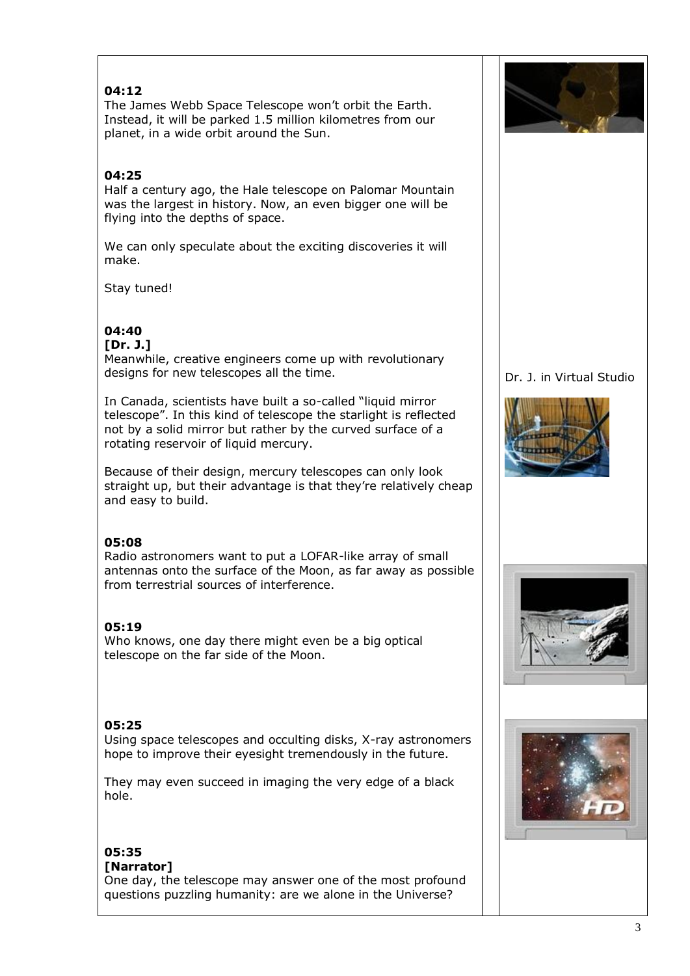## **04:12**

The James Webb Space Telescope won't orbit the Earth. Instead, it will be parked 1.5 million kilometres from our planet, in a wide orbit around the Sun.

## **04:25**

Half a century ago, the Hale telescope on Palomar Mountain was the largest in history. Now, an even bigger one will be flying into the depths of space.

We can only speculate about the exciting discoveries it will make.

Stay tuned!

# **04:40**

**[Dr. J.]**

Meanwhile, creative engineers come up with revolutionary designs for new telescopes all the time.

In Canada, scientists have built a so-called "liquid mirror telescope". In this kind of telescope the starlight is reflected not by a solid mirror but rather by the curved surface of a rotating reservoir of liquid mercury.

Because of their design, mercury telescopes can only look straight up, but their advantage is that they're relatively cheap and easy to build.

## **05:08**

Radio astronomers want to put a LOFAR-like array of small antennas onto the surface of the Moon, as far away as possible from terrestrial sources of interference.

## **05:19**

Who knows, one day there might even be a big optical telescope on the far side of the Moon.

#### **05:25**

Using space telescopes and occulting disks, X-ray astronomers hope to improve their eyesight tremendously in the future.

They may even succeed in imaging the very edge of a black hole.

#### **05:35 [Narrator]**

One day, the telescope may answer one of the most profound questions puzzling humanity: are we alone in the Universe?



### Dr. J. in Virtual Studio





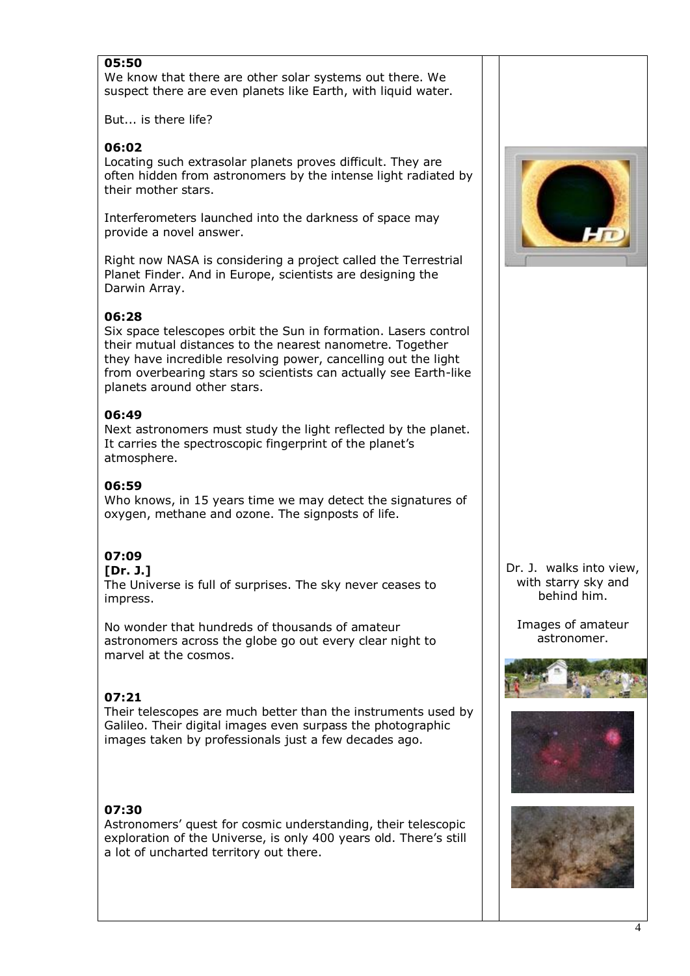### **05:50**

We know that there are other solar systems out there. We suspect there are even planets like Earth, with liquid water.

But... is there life?

#### **06:02**

Locating such extrasolar planets proves difficult. They are often hidden from astronomers by the intense light radiated by their mother stars.

Interferometers launched into the darkness of space may provide a novel answer.

Right now NASA is considering a project called the Terrestrial Planet Finder. And in Europe, scientists are designing the Darwin Array.

#### **06:28**

Six space telescopes orbit the Sun in formation. Lasers control their mutual distances to the nearest nanometre. Together they have incredible resolving power, cancelling out the light from overbearing stars so scientists can actually see Earth-like planets around other stars.

#### **06:49**

Next astronomers must study the light reflected by the planet. It carries the spectroscopic fingerprint of the planet's atmosphere.

#### **06:59**

Who knows, in 15 years time we may detect the signatures of oxygen, methane and ozone. The signposts of life.

# **07:09**

#### **[Dr. J.]**

The Universe is full of surprises. The sky never ceases to impress.

No wonder that hundreds of thousands of amateur astronomers across the globe go out every clear night to marvel at the cosmos.

#### **07:21**

Their telescopes are much better than the instruments used by Galileo. Their digital images even surpass the photographic images taken by professionals just a few decades ago.

#### **07:30**

Astronomers' quest for cosmic understanding, their telescopic exploration of the Universe, is only 400 years old. There's still a lot of uncharted territory out there.



Dr. J. walks into view, with starry sky and behind him.

Images of amateur astronomer.